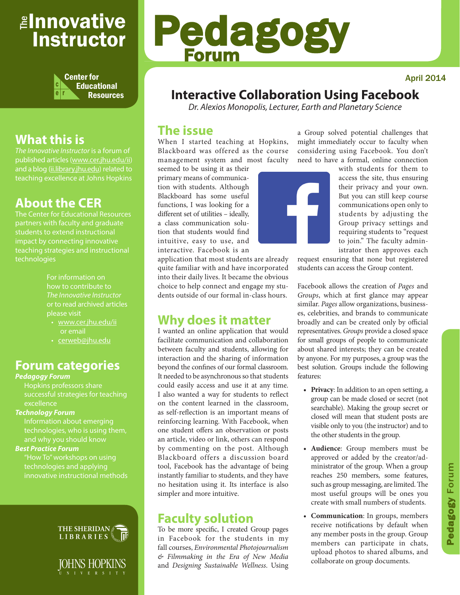# <sub>≝l</sub>nnovative Instructor



# **What this is**

*The Innovative Instructor* is a forum of published articles (www.cer.jhu.edu/ii) and a blog (ii.library.jhu.edu) related to teaching excellence at Johns Hopkins

# **About the CER**

The Center for Educational Resources students to extend instructional impact by connecting innovative teaching strategies and instructional technologies

> For information on how to contribute to *The Innovative Instructor* or to read archived articles please visit

- www.cer.jhu.edu/ii or email
- cerweb@jhu.edu

# **Forum categories**

#### *Pedagogy Forum*

Hopkins professors share successful strategies for teaching excellence

### *Technology Forum*

Information about emerging technologies, who is using them,

### *Best Practice Forum*

"How To" workshops on using technologies and applying innovative instructional methods





# Pedagogy Forum

# **Interactive Collaboration Using Facebook**

*Dr. Alexios Monopolis, Lecturer, Earth and Planetary Science*

## **The issue**

When I started teaching at Hopkins, Blackboard was offered as the course management system and most faculty

seemed to be using it as their primary means of communication with students. Although Blackboard has some useful functions, I was looking for a different set of utilities – ideally, a class communication solution that students would find intuitive, easy to use, and interactive. Facebook is an

application that most students are already quite familiar with and have incorporated into their daily lives. It became the obvious choice to help connect and engage my students outside of our formal in-class hours.

# **Why does it matter**

I wanted an online application that would facilitate communication and collaboration between faculty and students, allowing for interaction and the sharing of information beyond the confines of our formal classroom. It needed to be asynchronous so that students could easily access and use it at any time. I also wanted a way for students to reflect on the content learned in the classroom, as self-reflection is an important means of reinforcing learning. With Facebook, when one student offers an observation or posts an article, video or link, others can respond by commenting on the post. Although Blackboard offers a discussion board tool, Facebook has the advantage of being instantly familiar to students, and they have no hesitation using it. Its interface is also simpler and more intuitive.

# **Faculty solution**

To be more specific, I created Group pages in Facebook for the students in my fall courses, *Environmental Photojournalism & Filmmaking in the Era of New Media* and *Designing Sustainable Wellness*. Using



a Group solved potential challenges that might immediately occur to faculty when considering using Facebook. You don't need to have a formal, online connection

> with students for them to access the site, thus ensuring their privacy and your own. But you can still keep course communications open only to students by adjusting the Group privacy settings and requiring students to "request to join." The faculty administrator then approves each

request ensuring that none but registered students can access the Group content.

Facebook allows the creation of *Pages* and *Groups*, which at first glance may appear similar. *Pages* allow organizations, businesses, celebrities, and brands to communicate broadly and can be created only by official representatives. *Groups* provide a closed space for small groups of people to communicate about shared interests; they can be created by anyone. For my purposes, a group was the best solution. Groups include the following features:

- **• Privacy**: In addition to an open setting, a group can be made closed or secret (not searchable). Making the group secret or closed will mean that student posts are visible only to you (the instructor) and to the other students in the group.
- **• Audience**: Group members must be approved or added by the creator/administrator of the group. When a group reaches 250 members, some features, such as group messaging, are limited. The most useful groups will be ones you create with small numbers of students.
- **• Communication**: In groups, members receive notifications by default when any member posts in the group. Group members can participate in chats, upload photos to shared albums, and collaborate on group documents.